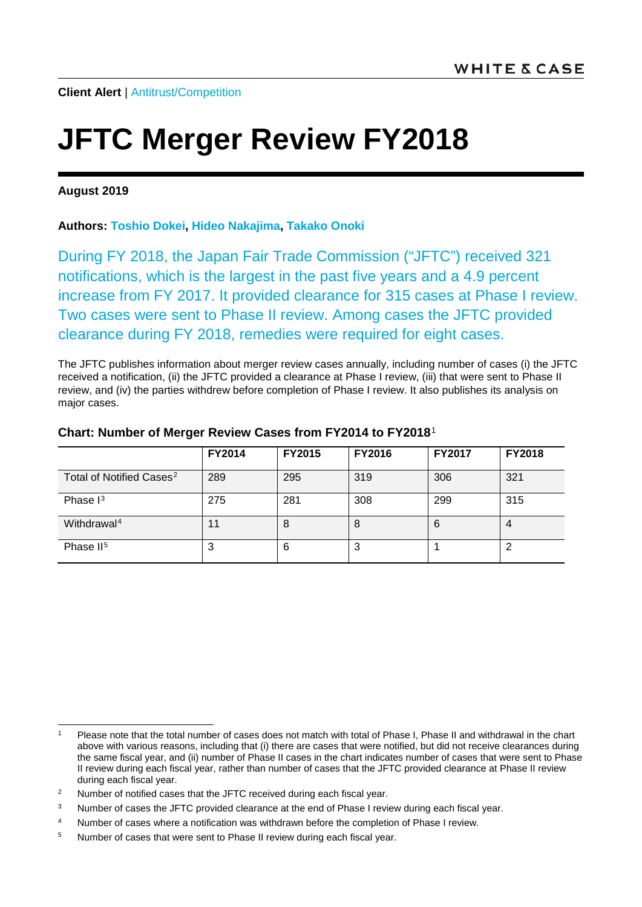# **JFTC Merger Review FY2018**

#### **August 2019**

### **Authors: [Toshio Dokei,](https://www.whitecase.com/people/toshio-dokei) [Hideo Nakajima,](https://www.whitecase.com/people/hideo-nakajima) [Takako Onoki](https://www.whitecase.com/people/takako-onoki)**

During FY 2018, the Japan Fair Trade Commission ("JFTC") received 321 notifications, which is the largest in the past five years and a 4.9 percent increase from FY 2017. It provided clearance for 315 cases at Phase I review. Two cases were sent to Phase II review. Among cases the JFTC provided clearance during FY 2018, remedies were required for eight cases.

The JFTC publishes information about merger review cases annually, including number of cases (i) the JFTC received a notification, (ii) the JFTC provided a clearance at Phase I review, (iii) that were sent to Phase II review, and (iv) the parties withdrew before completion of Phase I review. It also publishes its analysis on major cases.

|                                      | <b>FY2014</b> | <b>FY2015</b> | <b>FY2016</b> | <b>FY2017</b> | <b>FY2018</b> |
|--------------------------------------|---------------|---------------|---------------|---------------|---------------|
| Total of Notified Cases <sup>2</sup> | 289           | 295           | 319           | 306           | 321           |
| Phase $I3$                           | 275           | 281           | 308           | 299           | 315           |
| Withdrawal <sup>4</sup>              |               | 8             | 8             | 6             | 4             |
| Phase II <sup>5</sup>                | 3             | 6             | 3             |               | 2             |

#### **Chart: Number of Merger Review Cases from FY2014 to FY2018**[1](#page-0-0)

<span id="page-0-0"></span>Please note that the total number of cases does not match with total of Phase I, Phase II and withdrawal in the chart above with various reasons, including that (i) there are cases that were notified, but did not receive clearances during the same fiscal year, and (ii) number of Phase II cases in the chart indicates number of cases that were sent to Phase II review during each fiscal year, rather than number of cases that the JFTC provided clearance at Phase II review during each fiscal year.

<span id="page-0-1"></span><sup>&</sup>lt;sup>2</sup> Number of notified cases that the JFTC received during each fiscal year.

<span id="page-0-2"></span><sup>&</sup>lt;sup>3</sup> Number of cases the JFTC provided clearance at the end of Phase I review during each fiscal year.

<span id="page-0-3"></span><sup>4</sup> Number of cases where a notification was withdrawn before the completion of Phase I review.

<span id="page-0-4"></span><sup>&</sup>lt;sup>5</sup> Number of cases that were sent to Phase II review during each fiscal year.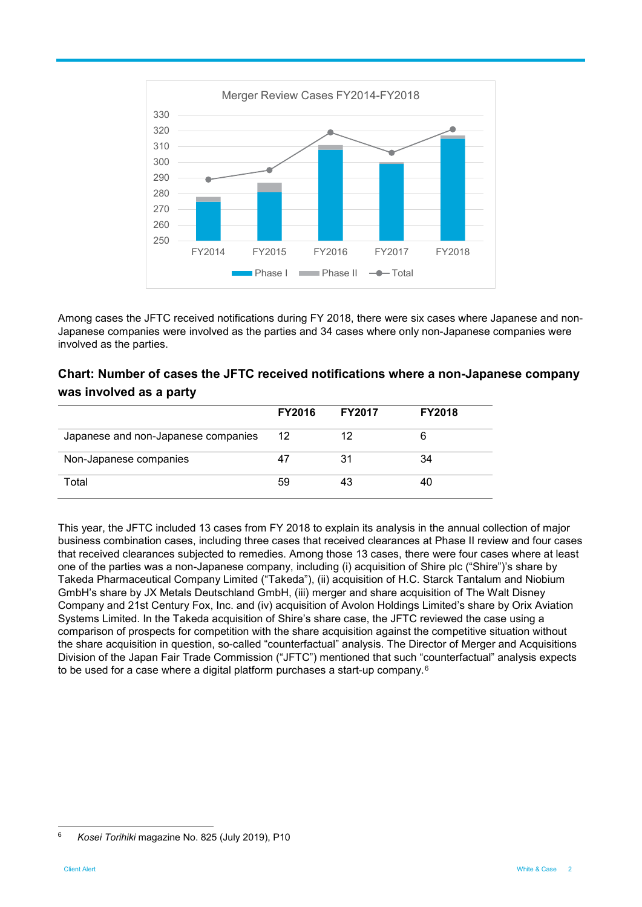

Among cases the JFTC received notifications during FY 2018, there were six cases where Japanese and non-Japanese companies were involved as the parties and 34 cases where only non-Japanese companies were involved as the parties.

## **Chart: Number of cases the JFTC received notifications where a non-Japanese company was involved as a party**

|                                     | <b>FY2016</b> | <b>FY2017</b> | <b>FY2018</b> |
|-------------------------------------|---------------|---------------|---------------|
| Japanese and non-Japanese companies | 12            | 12            | 6             |
| Non-Japanese companies              | 47            | 31            | 34            |
| Total                               | 59            | 43            | 40            |

This year, the JFTC included 13 cases from FY 2018 to explain its analysis in the annual collection of major business combination cases, including three cases that received clearances at Phase II review and four cases that received clearances subjected to remedies. Among those 13 cases, there were four cases where at least one of the parties was a non-Japanese company, including (i) acquisition of Shire plc ("Shire")'s share by Takeda Pharmaceutical Company Limited ("Takeda"), (ii) acquisition of H.C. Starck Tantalum and Niobium GmbH's share by JX Metals Deutschland GmbH, (iii) merger and share acquisition of The Walt Disney Company and 21st Century Fox, Inc. and (iv) acquisition of Avolon Holdings Limited's share by Orix Aviation Systems Limited. In the Takeda acquisition of Shire's share case, the JFTC reviewed the case using a comparison of prospects for competition with the share acquisition against the competitive situation without the share acquisition in question, so-called "counterfactual" analysis. The Director of Merger and Acquisitions Division of the Japan Fair Trade Commission ("JFTC") mentioned that such "counterfactual" analysis expects to be used for a case where a digital platform purchases a start-up company.6

<sup>6</sup> *Kosei Torihiki* magazine No. 825 (July 2019), P10